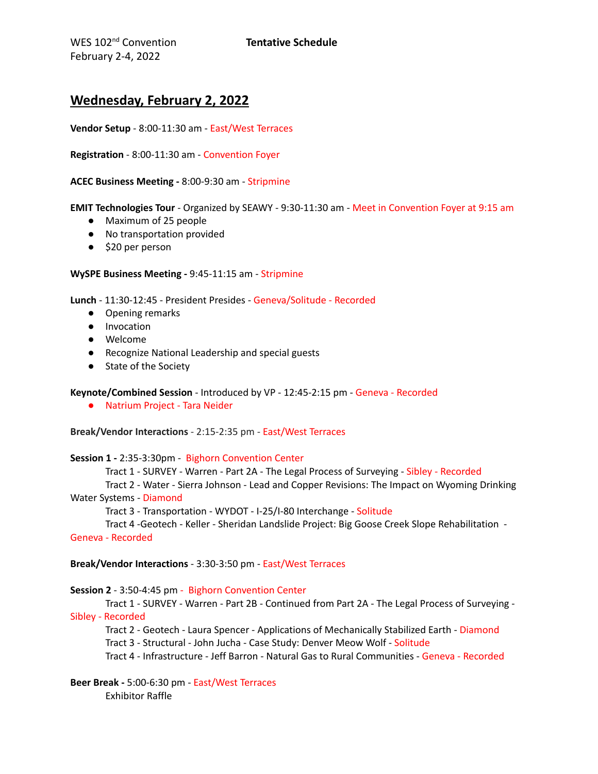WES 102<sup>nd</sup> Convention **Tentative Schedule** February 2-4, 2022

# **Wednesday, February 2, 2022**

**Vendor Setup** - 8:00-11:30 am - East/West Terraces

**Registration** - 8:00-11:30 am - Convention Foyer

**ACEC Business Meeting -** 8:00-9:30 am - Stripmine

**EMIT Technologies Tour** - Organized by SEAWY - 9:30-11:30 am - Meet in Convention Foyer at 9:15 am

- Maximum of 25 people
- No transportation provided
- \$20 per person

## **WySPE Business Meeting -** 9:45-11:15 am - Stripmine

**Lunch** - 11:30-12:45 - President Presides - Geneva/Solitude - Recorded

- Opening remarks
- Invocation
- Welcome
- Recognize National Leadership and special guests
- State of the Society

### **Keynote/Combined Session** - Introduced by VP - 12:45-2:15 pm - Geneva - Recorded

● Natrium Project - Tara Neider

### **Break/Vendor Interactions** - 2:15-2:35 pm - East/West Terraces

### **Session 1 -** 2:35-3:30pm - Bighorn Convention Center

Tract 1 - SURVEY - Warren - Part 2A - The Legal Process of Surveying - Sibley - Recorded

Tract 2 - Water - Sierra Johnson - Lead and Copper Revisions: The Impact on Wyoming Drinking Water Systems - Diamond

Tract 3 - Transportation - WYDOT - I-25/I-80 Interchange - Solitude

Tract 4 -Geotech - Keller - Sheridan Landslide Project: Big Goose Creek Slope Rehabilitation -

Geneva - Recorded

### **Break/Vendor Interactions** - 3:30-3:50 pm - East/West Terraces

### **Session 2** - 3:50-4:45 pm - Bighorn Convention Center

Tract 1 - SURVEY - Warren - Part 2B - Continued from Part 2A - The Legal Process of Surveying - Sibley - Recorded

Tract 2 - Geotech - Laura Spencer - Applications of Mechanically Stabilized Earth - Diamond Tract 3 - Structural - John Jucha - Case Study: Denver Meow Wolf - Solitude

Tract 4 - Infrastructure - Jeff Barron - Natural Gas to Rural Communities - Geneva - Recorded

# **Beer Break -** 5:00-6:30 pm - East/West Terraces Exhibitor Raffle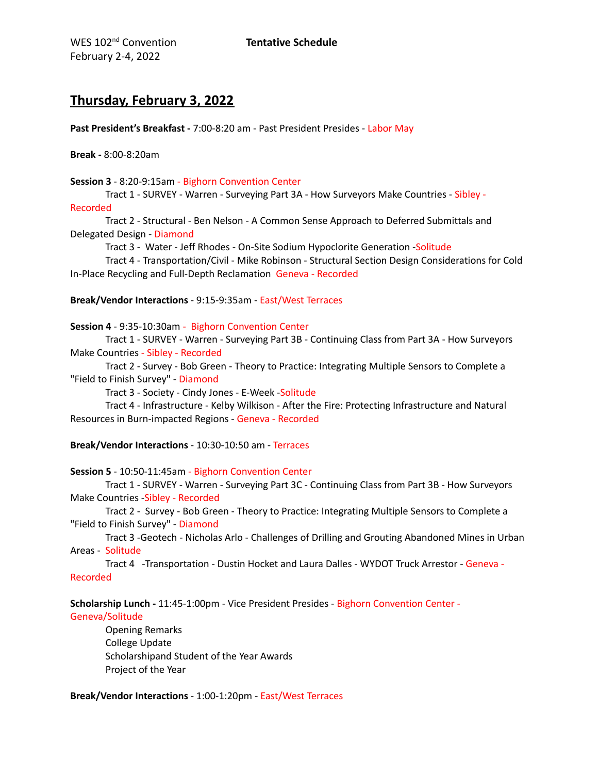WES 102<sup>nd</sup> Convention **Tentative Schedule** February 2-4, 2022

# **Thursday, February 3, 2022**

**Past President's Breakfast -** 7:00-8:20 am - Past President Presides - Labor May

**Break -** 8:00-8:20am

**Session 3** - 8:20-9:15am - Bighorn Convention Center

Tract 1 - SURVEY - Warren - Surveying Part 3A - How Surveyors Make Countries - Sibley - Recorded

Tract 2 - Structural - Ben Nelson - A Common Sense Approach to Deferred Submittals and Delegated Design - Diamond

Tract 3 - Water - Jeff Rhodes - On-Site Sodium Hypoclorite Generation -Solitude

Tract 4 - Transportation/Civil - Mike Robinson - Structural Section Design Considerations for Cold In-Place Recycling and Full-Depth Reclamation Geneva - Recorded

## **Break/Vendor Interactions** - 9:15-9:35am - East/West Terraces

**Session 4** - 9:35-10:30am - Bighorn Convention Center

Tract 1 - SURVEY - Warren - Surveying Part 3B - Continuing Class from Part 3A - How Surveyors Make Countries - Sibley - Recorded

Tract 2 - Survey - Bob Green - Theory to Practice: Integrating Multiple Sensors to Complete a "Field to Finish Survey" - Diamond

Tract 3 - Society - Cindy Jones - E-Week -Solitude

Tract 4 - Infrastructure - Kelby Wilkison - After the Fire: Protecting Infrastructure and Natural Resources in Burn-impacted Regions - Geneva - Recorded

**Break/Vendor Interactions** - 10:30-10:50 am - Terraces

**Session 5** - 10:50-11:45am - Bighorn Convention Center

Tract 1 - SURVEY - Warren - Surveying Part 3C - Continuing Class from Part 3B - How Surveyors Make Countries -Sibley - Recorded

Tract 2 - Survey - Bob Green - Theory to Practice: Integrating Multiple Sensors to Complete a "Field to Finish Survey" - Diamond

Tract 3 -Geotech - Nicholas Arlo - Challenges of Drilling and Grouting Abandoned Mines in Urban Areas - Solitude

Tract 4 -Transportation - Dustin Hocket and Laura Dalles - WYDOT Truck Arrestor - Geneva - Recorded

**Scholarship Lunch -** 11:45-1:00pm - Vice President Presides - Bighorn Convention Center - Geneva/Solitude

Opening Remarks College Update Scholarshipand Student of the Year Awards Project of the Year

**Break/Vendor Interactions** - 1:00-1:20pm - East/West Terraces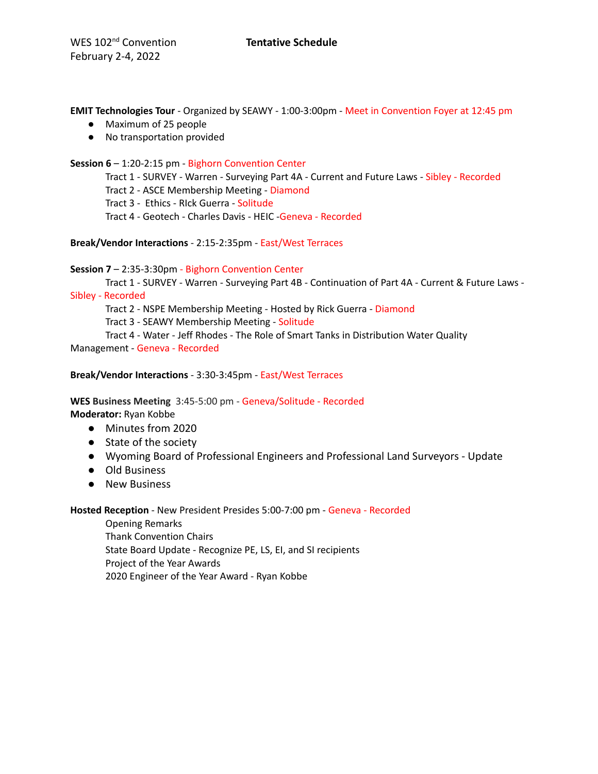# **EMIT Technologies Tour** - Organized by SEAWY - 1:00-3:00pm - Meet in Convention Foyer at 12:45 pm

- Maximum of 25 people
- No transportation provided

# **Session 6** – 1:20-2:15 pm - Bighorn Convention Center

Tract 1 - SURVEY - Warren - Surveying Part 4A - Current and Future Laws - Sibley - Recorded Tract 2 - ASCE Membership Meeting - Diamond

Tract 3 - Ethics - RIck Guerra - Solitude

Tract 4 - Geotech - Charles Davis - HEIC -Geneva - Recorded

**Break/Vendor Interactions** - 2:15-2:35pm - East/West Terraces

# **Session 7** – 2:35-3:30pm - Bighorn Convention Center

Tract 1 - SURVEY - Warren - Surveying Part 4B - Continuation of Part 4A - Current & Future Laws - Sibley - Recorded

Tract 2 - NSPE Membership Meeting - Hosted by Rick Guerra - Diamond

Tract 3 - SEAWY Membership Meeting - Solitude

Tract 4 - Water - Jeff Rhodes - The Role of Smart Tanks in Distribution Water Quality

Management - Geneva - Recorded

# **Break/Vendor Interactions** - 3:30-3:45pm - East/West Terraces

**WES Business Meeting** 3:45-5:00 pm - Geneva/Solitude - Recorded **Moderator:** Ryan Kobbe

- Minutes from 2020
- State of the society
- Wyoming Board of Professional Engineers and Professional Land Surveyors Update
- Old Business
- New Business

**Hosted Reception** - New President Presides 5:00-7:00 pm - Geneva - Recorded

Opening Remarks Thank Convention Chairs

State Board Update - Recognize PE, LS, EI, and SI recipients

Project of the Year Awards

2020 Engineer of the Year Award - Ryan Kobbe